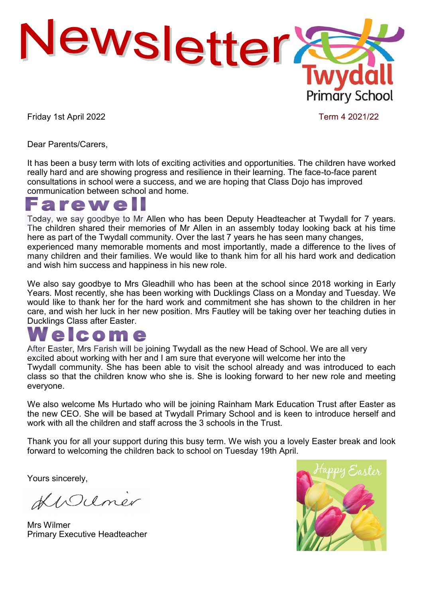

Friday 1st April 2022 **Term 4 2021/22** 

Dear Parents/Carers,

It has been a busy term with lots of exciting activities and opportunities. The children have worked really hard and are showing progress and resilience in their learning. The face-to-face parent consultations in school were a success, and we are hoping that Class Dojo has improved communication between school and home.

## **Irewe**

Today, we say goodbye to Mr Allen who has been Deputy Headteacher at Twydall for 7 years. The children shared their memories of Mr Allen in an assembly today looking back at his time here as part of the Twydall community. Over the last 7 years he has seen many changes, experienced many memorable moments and most importantly, made a difference to the lives of many children and their families. We would like to thank him for all his hard work and dedication and wish him success and happiness in his new role.

We also say goodbye to Mrs Gleadhill who has been at the school since 2018 working in Early Years. Most recently, she has been working with Ducklings Class on a Monday and Tuesday. We would like to thank her for the hard work and commitment she has shown to the children in her care, and wish her luck in her new position. Mrs Fautley will be taking over her teaching duties in Ducklings Class after Easter.

# com e

After Easter, Mrs Farish will be joining Twydall as the new Head of School. We are all very excited about working with her and I am sure that everyone will welcome her into the Twydall community. She has been able to visit the school already and was introduced to each class so that the children know who she is. She is looking forward to her new role and meeting everyone.

We also welcome Ms Hurtado who will be joining Rainham Mark Education Trust after Easter as the new CEO. She will be based at Twydall Primary School and is keen to introduce herself and work with all the children and staff across the 3 schools in the Trust.

Thank you for all your support during this busy term. We wish you a lovely Easter break and look forward to welcoming the children back to school on Tuesday 19th April.

Yours sincerely,

KWUmer

Mrs Wilmer Primary Executive Headteacher